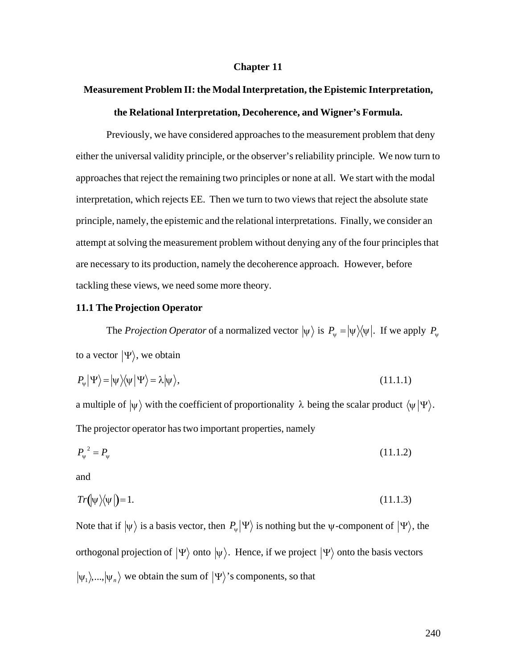#### **Chapter 11**

# **Measurement Problem II: the Modal Interpretation, the Epistemic Interpretation, the Relational Interpretation, Decoherence, and Wigner's Formula.**

Previously, we have considered approaches to the measurement problem that deny either the universal validity principle, or the observer's reliability principle. We now turn to approaches that reject the remaining two principles or none at all. We start with the modal interpretation, which rejects EE. Then we turn to two views that reject the absolute state principle, namely, the epistemic and the relational interpretations. Finally, we consider an attempt at solving the measurement problem without denying any of the four principles that are necessary to its production, namely the decoherence approach. However, before tackling these views, we need some more theory.

## **11.1 The Projection Operator**

The *Projection Operator* of a normalized vector  $|\psi\rangle$  is  $P_{\psi} = |\psi\rangle\langle\psi|$ . If we apply  $P_{\psi}$ to a vector  $|\Psi\rangle$ , we obtain

$$
P_{\psi}|\Psi\rangle = |\psi\rangle\langle\psi|\Psi\rangle = \lambda|\psi\rangle, \qquad (11.1.1)
$$

a multiple of  $|\psi\rangle$  with the coefficient of proportionality  $\lambda$  being the scalar product  $\langle \psi|\Psi\rangle$ . The projector operator has two important properties, namely

$$
P_{\psi}^{2} = P_{\psi} \tag{11.1.2}
$$

and

$$
Tr\left(\left|\psi\right\rangle\left\langle\psi\right|\right) = 1. \tag{11.1.3}
$$

Note that if  $|\psi\rangle$  is a basis vector, then  $P_{\psi}|\Psi\rangle$  is nothing but the  $\psi$ -component of  $|\Psi\rangle$ , the  $|\psi_1\rangle$ ,...,  $|\psi_n\rangle$  we obtain the sum of  $|\Psi\rangle$ 's components, so that orthogonal projection of  $|\Psi\rangle$  onto  $|\psi\rangle$ . Hence, if we project  $|\Psi\rangle$  onto the basis vectors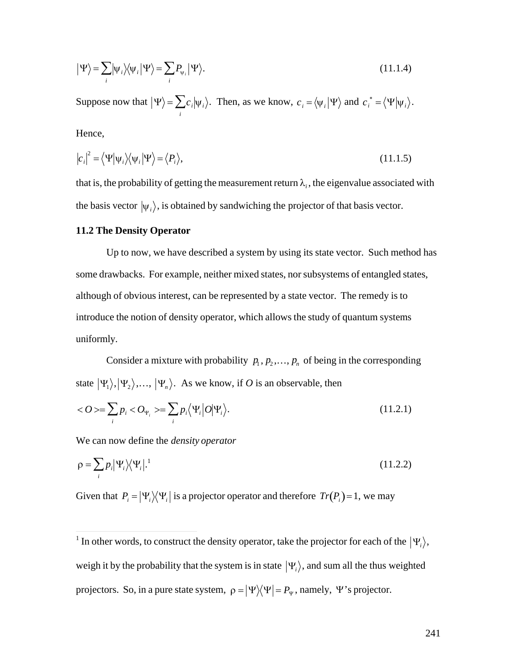$$
|\Psi\rangle = \sum_{i} |\psi_{i}\rangle\langle\psi_{i} | \Psi\rangle = \sum_{i} P_{\psi_{i}} |\Psi\rangle.
$$
 (11.1.4)

Suppose now that  $|\Psi\rangle = \sum c_i |\psi_i\rangle$ . *i*  $\sum c_i |\psi_i\rangle$ . Then, as we know,  $c_i = \langle \psi_i | \Psi \rangle$  and  $c_i^* = \langle \Psi | \psi_i \rangle$ .

Hence,

$$
|c_i|^2 = \langle \Psi | \Psi_i \rangle \langle \Psi_i | \Psi \rangle = \langle P_i \rangle, \tag{11.1.5}
$$

that is, the probability of getting the measurement return  $\lambda_i$ , the eigenvalue associated with the basis vector  $|\psi_i\rangle$ , is obtained by sandwiching the projector of that basis vector.

#### **11.2 The Density Operator**

Up to now, we have described a system by using its state vector. Such method has some drawbacks. For example, neither mixed states, nor subsystems of entangled states, although of obvious interest, can be represented by a state vector. The remedy is to introduce the notion of density operator, which allows the study of quantum systems uniformly.

Consider a mixture with probability  $p_1, p_2,..., p_n$  of being in the corresponding state  $|\Psi_1\rangle, |\Psi_2\rangle, ..., |\Psi_n\rangle$ . As we know, if *O* is an observable, then

$$
\langle O \rangle = \sum_{i} p_i \langle O_{\Psi_i} \rangle = \sum_{i} p_i \langle \Psi_i | O | \Psi_i \rangle. \tag{11.2.1}
$$

We can now define the *density operator*

$$
\rho = \sum_{i} p_i |\Psi_i\rangle\langle\Psi_i|^{1} \tag{11.2.2}
$$

Given that  $P_i = |\Psi_i\rangle\langle\Psi_i|$  is a projector operator and therefore  $Tr(P_i)=1$ , we may

In other words, to construct the density operator, take the <sup>1</sup> In other words, to construct the density operator, take the projector for each of the  $|\Psi_i\rangle$ , projectors. So, in a pure state system,  $\rho = |\Psi\rangle\langle\Psi| = P_{\Psi}$ , namely,  $\Psi$ 's projector. weigh it by the probability that the system is in state  $|\Psi_i\rangle$ , and sum all the thus weighted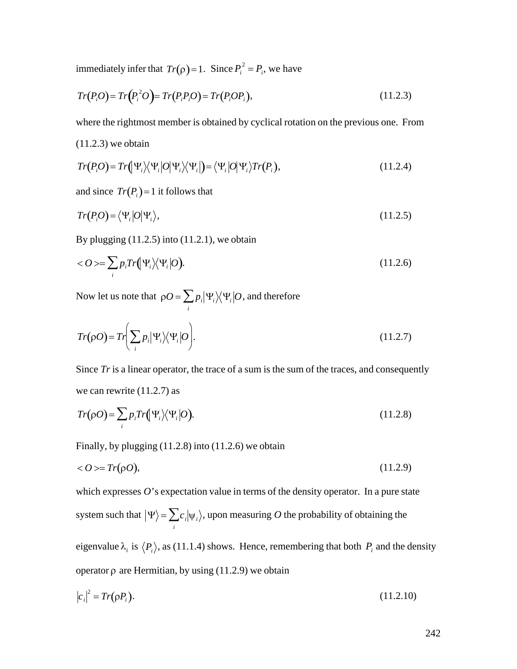immediately infer that  $Tr(\rho) = 1$ . Since  $P_i^2 = P_i$ , we have

$$
Tr(P_iO) = Tr(P_i^2O) = Tr(P_iP_iO) = Tr(P_iOP_i),
$$
\n(11.2.3)

† † where the rightmost member is obtained by cyclical rotation on the previous one. From

 $(11.2.3)$  we obtain

$$
Tr(P_iO) = Tr(\Psi_i) \langle \Psi_i | O | \Psi_i \rangle \langle \Psi_i | \rangle = \langle \Psi_i | O | \Psi_i \rangle Tr(P_i), \qquad (11.2.4)
$$

and since  $Tr(P_i)=1$  it follows that

$$
Tr(P_iO) = \langle \Psi_i | O | \Psi_i \rangle, \tag{11.2.5}
$$

By plugging  $(11.2.5)$  into  $(11.2.1)$ , we obtain

$$
\langle O \rangle = \sum_{i} p_i Tr \Big( \Psi_i \Big) \langle \Psi_i | O \Big). \tag{11.2.6}
$$

Now let us note that  $\rho O = \sum p_i |\Psi_i\rangle\langle \Psi_i|$ *i*  $\sum p_i \lvert \Psi_i \rangle \! \langle \Psi_i \lvert O,$  and therefore

$$
Tr(\rho O) = Tr \bigg(\sum_{i} p_i |\Psi_i\rangle\langle\Psi_i|O\bigg). \tag{11.2.7}
$$

Since *Tr* is a linear operator, the trace of a sum is the sum of the traces, and consequently we can rewrite (11.2.7) as

$$
Tr(\rho O) = \sum_{i} p_i Tr(\Psi_i) \langle \Psi_i | O \rangle. \tag{11.2.8}
$$

Finally, by plugging (11.2.8) into (11.2.6) we obtain

$$
\langle O \rangle = Tr(\rho O),\tag{11.2.9}
$$

which expresses  $O$ 's expectation value in terms of the density operator. In a pure state system such that  $|\Psi\rangle = \sum c_i |\psi_i\rangle$ , u *i*  $\sum c_i |\psi_i\rangle$ , upon measuring *O* the probability of obtaining the

operator  $\rho$  are Hermitian, by using (11.2.9) we obtain eigenvalue  $\lambda_i$  is  $\langle P_i \rangle$ , as (11.1.4) shows. Hence, remembering that both  $P_i$  and the density

$$
|c_i|^2 = Tr(\rho P_i). \tag{11.2.10}
$$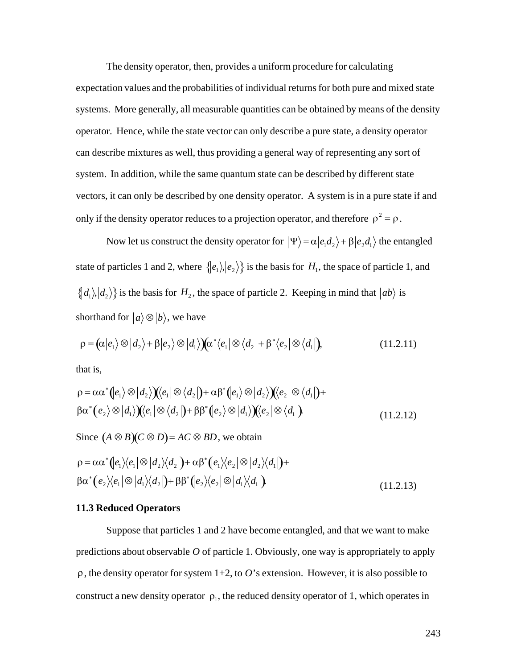The density operator, then, provides a uniform procedure for calculating expectation values and the probabilities of individual returns for both pure and mixed state systems. More generally, all measurable quantities can be obtained by means of the density operator. Hence, while the state vector can only describe a pure state, a density operator can describe mixtures as well, thus providing a general way of representing any sort of system. In addition, while the same quantum state can be described by different state vectors, it can only be described by one density operator. A system is in a pure state if and only if the density operator reduces to a projection operator, and therefore  $\rho^2 = \rho$ .

state of particles 1 and 2, where  $\{ |e_1\rangle, |e_2\rangle \}$  is the basis for  $H_1$ , the space of particle 1, and Now let us construct the density operator for  $|\Psi\rangle = \alpha |e_1 d_2\rangle + \beta |e_2 d_1\rangle$  the entangled  $\mathbf{r}^{\text{th}}$ shorthand for  $|a\rangle \otimes |b\rangle$ , we have  $\{|d_1\rangle, |d_2\rangle\}$  is the basis for  $H_2$ , the space of particle 2. Keeping in mind that  $|ab\rangle$  is

$$
\rho = (\alpha | e_1 \rangle \otimes | d_2 \rangle + \beta | e_2 \rangle \otimes | d_1 \rangle) (\alpha^* \langle e_1 | \otimes \langle d_2 | + \beta^* \langle e_2 | \otimes \langle d_1 |),
$$
\n(11.2.11)

that is,

$$
\rho = \alpha \alpha^* (e_1) \otimes |d_2\rangle)(e_1 | \otimes \langle d_2|) + \alpha \beta^* (e_1) \otimes |d_2\rangle)(e_2 | \otimes \langle d_1|) +
$$
  
\n
$$
\beta \alpha^* (e_2) \otimes |d_1\rangle)(e_1 | \otimes \langle d_2|) + \beta \beta^* (e_2) \otimes |d_1\rangle)(e_2 | \otimes \langle d_1|)
$$
  
\n(11.2.12)

Since  $(A \otimes B)(C \otimes D) = AC \otimes BD$ , we obtain

$$
\rho = \alpha \alpha^* (e_1) \langle e_1 | \otimes | d_2 \rangle \langle d_2 | \mathbf{H} \alpha \beta^* (e_1) \langle e_2 | \otimes | d_2 \rangle \langle d_1 | \mathbf{H}
$$
  
\n
$$
\beta \alpha^* (e_2) \langle e_1 | \otimes | d_1 \rangle \langle d_2 | \mathbf{H} \beta^* (e_2) \langle e_2 | \otimes | d_1 \rangle \langle d_1 | \mathbf{H}
$$
\n(11.2.13)

#### **11.3 Reduced Operators**

Suppose that particles 1 and 2 have become entangled, and that we want to make predictions about observable *O* of particle 1. Obviously, one way is appropriately to apply  $\rho$ , the density operator for system 1+2, to *O*'s extension. However, it is also possible to construct a new density operator  $\rho_1$ , the reduced density operator of 1, which operates in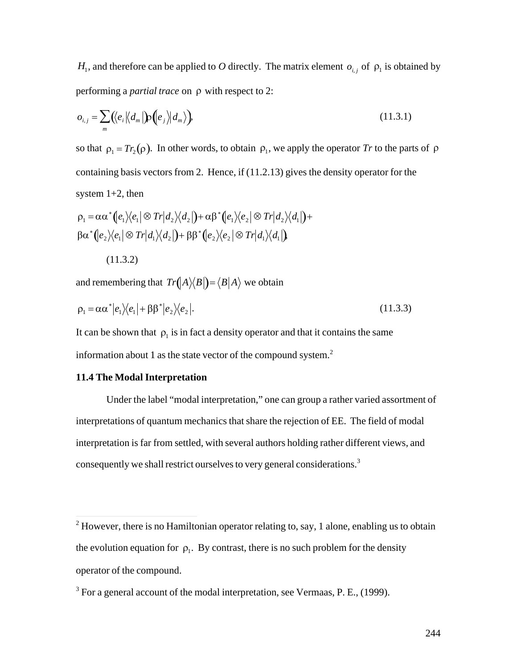*H*<sub>1</sub>, and therefore can be applied to *O* directly. The matrix element  $o_{i,j}$  of  $\rho_1$  is obtained by performing a *partial trace* on  $\rho$  with respect to 2:

$$
o_{i,j} = \sum_{m} (\langle e_i | \langle d_m | \mathbf{p} (e_j | d_m \rangle), \tag{11.3.1}
$$

so that  $\rho_1 = Tr_2(\rho)$ . In other words, to obtain  $\rho_1$ , we apply the operator *Tr* to the parts of  $\rho$ system  $1+2$ , then containing basis vectors from 2. Hence, if (11.2.13) gives the density operator for the

$$
\rho_1 = \alpha \alpha^* (e_1) \langle e_1 | \otimes Tr | d_2 \rangle \langle d_2 | \mathbf{H} = \alpha \beta^* (e_1) \langle e_2 | \otimes Tr | d_2 \rangle \langle d_1 | \mathbf{H}
$$
  

$$
\beta \alpha^* (e_2) \langle e_1 | \otimes Tr | d_1 \rangle \langle d_2 | \mathbf{H} = \beta \beta^* (e_2) \langle e_2 | \otimes Tr | d_1 \rangle \langle d_1 | \mathbf{H}
$$

(11.3.2)

and remembering that  $Tr(A \rangle \langle B|) = \langle B|A \rangle$  we obtain

$$
\rho_1 = \alpha \alpha^* |e_1\rangle\langle e_1| + \beta \beta^* |e_2\rangle\langle e_2|.
$$
\n(11.3.3)

It can be shown that  $\rho_1$  is in fact a density operator and that it contains the same information about 1 as the state vector of the compound system.<sup>2</sup>

# † **11.4 The Modal Interpretation**

Under the label "modal interpretation," one can group a rather varied assortment of interpretations of quantum mechanics that share the rejection of EE. The field of modal interpretation is far from settled, with several authors holding rather different views, and consequently we shall restrict ourselves to very general considerations.<sup>3</sup>

<sup>&</sup>lt;sup>2</sup> However, there is no Hamiltonian operator relating to, say, 1 alone, enabling us to obtain the evolution equation for  $\rho_1$ . By contrast, there is no such problem for the density operator of the compound.

 $3$  For a general account of the modal interpretation, see Vermaas, P. E., (1999).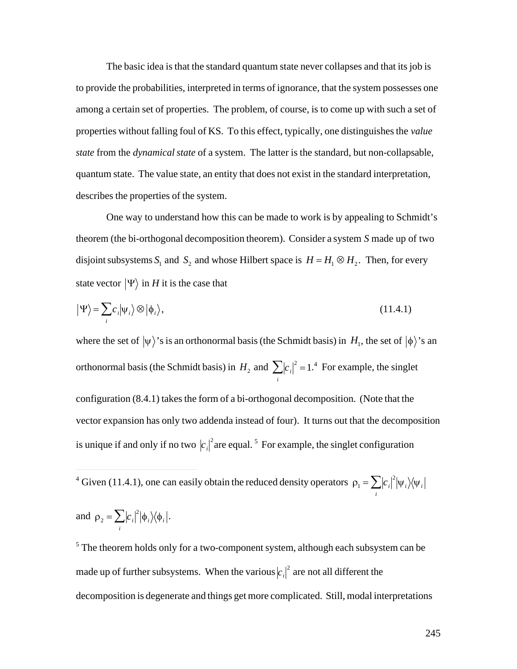The basic idea is that the standard quantum state never collapses and that its job is to provide the probabilities, interpreted in terms of ignorance, that the system possesses one among a certain set of properties. The problem, of course, is to come up with such a set of properties without falling foul of KS. To this effect, typically, one distinguishes the *value state* from the *dynamical state* of a system. The latter is the standard, but non-collapsable, quantum state. The value state, an entity that does not exist in the standard interpretation, describes the properties of the system.

One way to understand how this can be made to work is by appealing to Schmidt's theorem (the bi-orthogonal decomposition theorem). Consider a system *S* made up of two disjoint subsystems  $S_1$  and  $S_2$  and whose Hilbert space is  $H = H_1 \otimes H_2$ . Then, for every state vector  $|\Psi\rangle$  in *H* it is the case that

$$
|\Psi\rangle = \sum_{i} c_i |\psi_i\rangle \otimes |\phi_i\rangle, \qquad (11.4.1)
$$

where the set of  $|\psi\rangle$ 's is an orthonormal basis (the Schmidt basis) in  $H_1$ , the set of  $|\phi\rangle$ 's an orthonormal basis (the Schmidt basis) in  $H_2$  and  $\sum |c_i|^2 = 1$ .<sup>4</sup> For ex  $\mathbb{F}_{2n}$ vector expansion has only two addenda instead of four). It turns out that the decomposition *i*  $\sum |c_i|^2 = 1$ <sup>4</sup> For example, the singlet configuration (8.4.1) takes the form of a bi-orthogonal decomposition. (Note that the is unique if and only if no two  $|c_i|^2$  are equal.<sup>5</sup> For example, the singlet configuration

 $\frac{1}{2}$ <sup>4</sup> Given (11.4.1), one can easily obtain the reduced density operators  $\rho_1 = \sum |c_i|^2 |\psi_i\rangle\langle\psi_i|$  $\sum \bigl| c_{\,i} \bigr|^2 \bigl| \psi_{\,i} \bigr\rangle\!\bigl\langle \psi_{\,i} \bigr|$ 

and 
$$
\rho_2 = \sum_i |c_i|^2 |\phi_i\rangle\langle\phi_i|
$$
.

 $\overline{a}$ 

made up of further subsystems. When the various  $|c_i|^2$  are not all different the <sup>5</sup> The theorem holds only for a two-component system, although each subsystem can be decomposition is degenerate and things get more complicated. Still, modal interpretations

*i*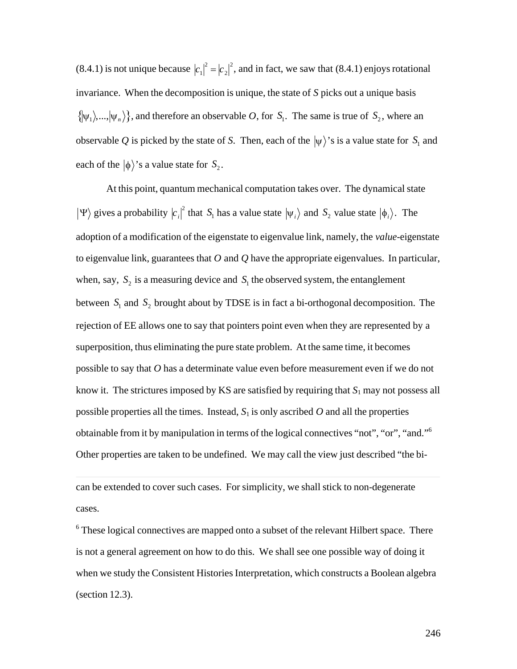(8.4.1) is not unique because  $|c_1|^2 = |c_2|^2$ , and in fact, we saw that (8.4.1) enjoys rotational  $\{\psi_1\},\ldots,\psi_n\}$ , and therefore an observable *O*, for *S*<sub>1</sub>. The same is true of *S*<sub>2</sub>, where an invariance. When the decomposition is unique, the state of *S* picks out a unique basis observable Q is picked by the state of S. Then, each of the  $|\psi\rangle$ 's is a value state for  $S_1$  and each of the  $|\phi\rangle$ 's a value state for  $S_2$ .

At this point, quantum mechanical computation takes over. The dynamical state  $|\Psi\rangle$  gives a probability  $|c_i|^2$  that  $S_1$  has a value state  $|\Psi_i\rangle$  and  $S_2$  value state  $|\phi_i\rangle$ . The to eigenvalue link, guarantees that  $O$  and  $Q$  have the appropriate eigenvalues. In particular, adoption of a modification of the eigenstate to eigenvalue link, namely, the *value*-eigenstate when, say,  $S_2$  is a measuring device and  $S_1$  the observed system, the entanglement rejection of EE allows one to say that pointers point even when they are represented by a between  $S_1$  and  $S_2$  brought about by TDSE is in fact a bi-orthogonal decomposition. The superposition, thus eliminating the pure state problem. At the same time, it becomes possible to say that *O* has a determinate value even before measurement even if we do not know it. The strictures imposed by KS are satisfied by requiring that  $S_1$  may not possess all possible properties all the times. Instead,  $S_1$  is only ascribed  $O$  and all the properties obtainable from it by manipulation in terms of the logical connectives "not", "or", "and."<sup>6</sup>  Other properties are taken to be undefined. We may call the view just described "the bi-

can be extended to cover such cases. For simplicity, we shall stick to non-degenerate cases.

 $\overline{a}$ 

<sup>6</sup> These logical connectives are mapped onto a subset of the relevant Hilbert space. There is not a general agreement on how to do this. We shall see one possible way of doing it when we study the Consistent Histories Interpretation, which constructs a Boolean algebra (section 12.3).

246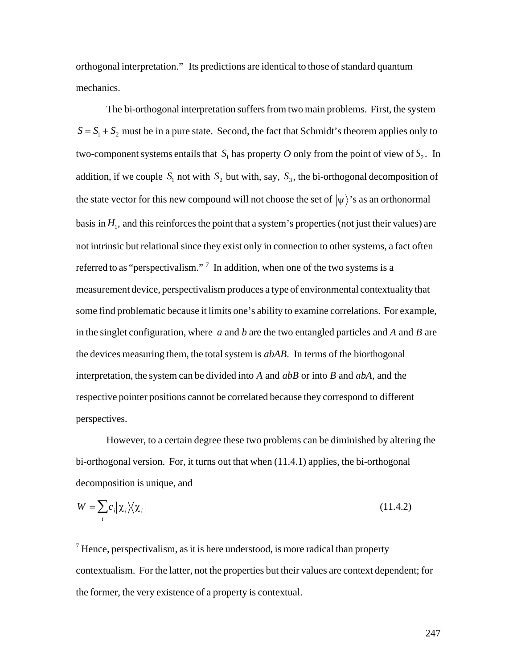orthogonal interpretation." Its predictions are identical to those of standard quantum mechanics.

The bi-orthogonal interpretation suffers from two main problems. First, the system  $S = S_1 + S_2$  must be in a pure state. Second, the fact that Schmidt's theorem applies only to two-component systems entails that  $S_1$  has property *O* only from the point of view of  $S_2$ . In the state vector for this new compound will not choose the set of  $|\psi\rangle$ 's as an orthonormal addition, if we couple  $S_1$  not with  $S_2$  but with, say,  $S_3$ , the bi-orthogonal decomposition of basis in  $H_1$ , and this reinforces the point that a system's properties (not just their values) are not intrinsic but relational since they exist only in connection to other systems, a fact often referred to as "perspectivalism."<sup>7</sup> In addition, when one of the two systems is a measurement device, perspectivalism produces a type of environmental contextuality that some find problematic because it limits one's ability to examine correlations. For example, in the singlet configuration, where *a* and *b* are the two entangled particles and *A* and *B* are the devices measuring them, the total system is *abAB*. In terms of the biorthogonal interpretation, the system can be divided into *A* and *abB* or into *B* and *abA*, and the respective pointer positions cannot be correlated because they correspond to different perspectives.

However, to a certain degree these two problems can be diminished by altering the bi-orthogonal version. For, it turns out that when (11.4.1) applies, the bi-orthogonal decomposition is unique, and

$$
W = \sum_{i} c_i |\chi_i\rangle\langle\chi_i| \tag{11.4.2}
$$

<sup>7</sup> Hence, perspectivalism, as it is here understood, is more radical than property contextualism. For the latter, not the properties but their values are context dependent; for the former, the very existence of a property is contextual.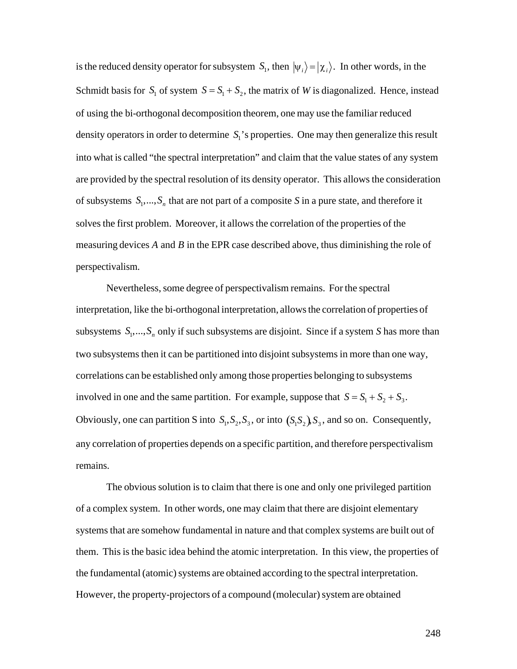is the reduced density operator for subsystem  $S_i$ , then  $|\psi_i\rangle = |\chi_i\rangle$ . In other words, in the of using the bi-orthogonal decomposition theorem, one may use the familiar reduced Schmidt basis for  $S_1$  of system  $S = S_1 + S_2$ , the matrix of *W* is diagonalized. Hence, instead density operators in order to determine  $S_1$ 's properties. One may then generalize this result are provided by the spectral resolution of its density operator. This allows the consideration into what is called "the spectral interpretation" and claim that the value states of any system of subsystems  $S_1, \ldots, S_n$  that are not part of a composite *S* in a pure state, and therefore it † measuring devices *A* and *B* in the EPR case described above, thus diminishing the role of solves the first problem. Moreover, it allows the correlation of the properties of the perspectivalism.

Nevertheless, some degree of perspectivalism remains. For the spectral interpretation, like the bi-orthogonal interpretation, allows the correlation of properties of subsystems  $S_1, ..., S_n$  only if such subsystems are disjoint. Since if a system *S* has more than † correlations can be established only among those properties belonging to subsystems two subsystems then it can be partitioned into disjoint subsystems in more than one way, involved in one and the same partition. For example, suppose that  $S = S_1 + S_2 + S_3$ . any correlation of properties depends on a specific partition, and therefore perspectivalism Obviously, one can partition S into  $S_1$ ,  $S_2$ ,  $S_3$ , or into  $(S_1S_2)$ ,  $S_3$ , and so on. Consequently, remains.

The obvious solution is to claim that there is one and only one privileged partition of a complex system. In other words, one may claim that there are disjoint elementary systems that are somehow fundamental in nature and that complex systems are built out of them. This is the basic idea behind the atomic interpretation. In this view, the properties of the fundamental (atomic) systems are obtained according to the spectral interpretation. However, the property-projectors of a compound (molecular) system are obtained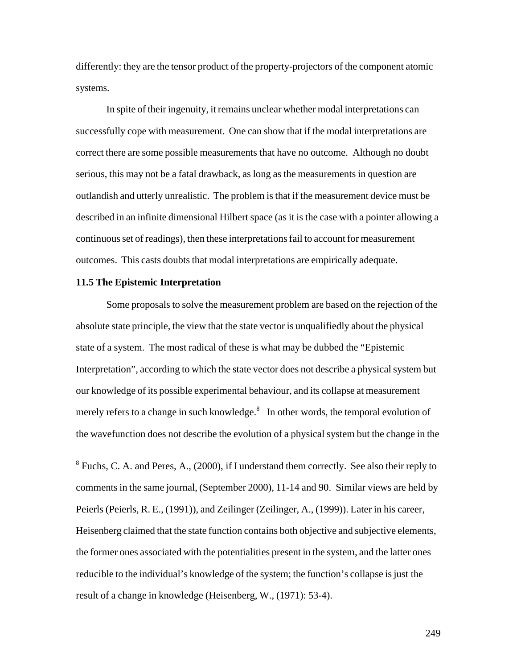differently: they are the tensor product of the property-projectors of the component atomic systems.

In spite of their ingenuity, it remains unclear whether modal interpretations can successfully cope with measurement. One can show that if the modal interpretations are correct there are some possible measurements that have no outcome. Although no doubt serious, this may not be a fatal drawback, as long as the measurements in question are outlandish and utterly unrealistic. The problem is that if the measurement device must be described in an infinite dimensional Hilbert space (as it is the case with a pointer allowing a continuous set of readings), then these interpretations fail to account for measurement outcomes. This casts doubts that modal interpretations are empirically adequate.

#### **11.5 The Epistemic Interpretation**

Some proposals to solve the measurement problem are based on the rejection of the absolute state principle, the view that the state vector is unqualifiedly about the physical state of a system. The most radical of these is what may be dubbed the "Epistemic Interpretation", according to which the state vector does not describe a physical system but our knowledge of its possible experimental behaviour, and its collapse at measurement merely refers to a change in such knowledge. $8\,$  In other words, the temporal evolution of the wavefunction does not describe the evolution of a physical system but the change in the

<sup>8</sup> Fuchs, C. A. and Peres, A., (2000), if I understand them correctly. See also their reply to comments in the same journal, (September 2000), 11-14 and 90. Similar views are held by Peierls (Peierls, R. E., (1991)), and Zeilinger (Zeilinger, A., (1999)). Later in his career, Heisenberg claimed that the state function contains both objective and subjective elements, the former ones associated with the potentialities present in the system, and the latter ones reducible to the individual's knowledge of the system; the function's collapse is just the result of a change in knowledge (Heisenberg, W., (1971): 53-4).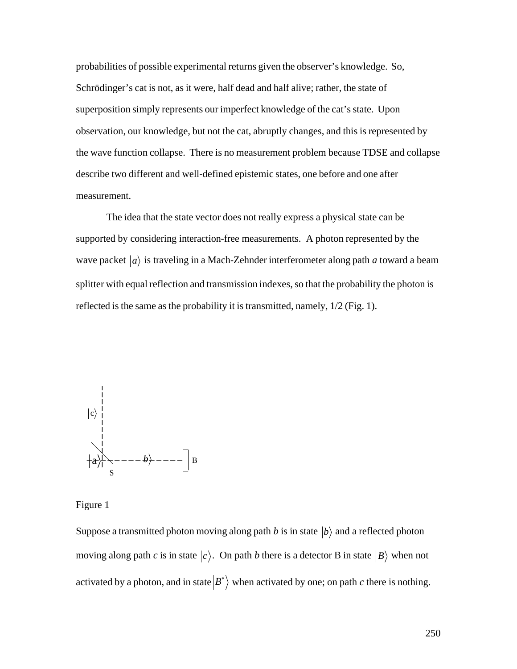probabilities of possible experimental returns given the observer's knowledge. So, Schrödinger's cat is not, as it were, half dead and half alive; rather, the state of superposition simply represents our imperfect knowledge of the cat's state. Upon observation, our knowledge, but not the cat, abruptly changes, and this is represented by the wave function collapse. There is no measurement problem because TDSE and collapse describe two different and well-defined epistemic states, one before and one after measurement.

The idea that the state vector does not really express a physical state can be supported by considering interaction-free measurements. A photon represented by the wave packet  $|a\rangle$  is traveling in a Mach-Zehnder interferometer along path *a* toward a beam reflected is the same as the probability it is transmitted, namely,  $1/2$  (Fig. 1). splitter with equal reflection and transmission indexes, so that the probability the photon is



Figure 1

Suppose a transmitted photon moving along path *b* is in state  $|b\rangle$  and a reflected photon activated by a photon, and in state  $|B^*\rangle$  when activated by one; on path *c* there is nothing. moving along path *c* is in state  $|c\rangle$ . On path *b* there is a detector B in state  $|B\rangle$  when not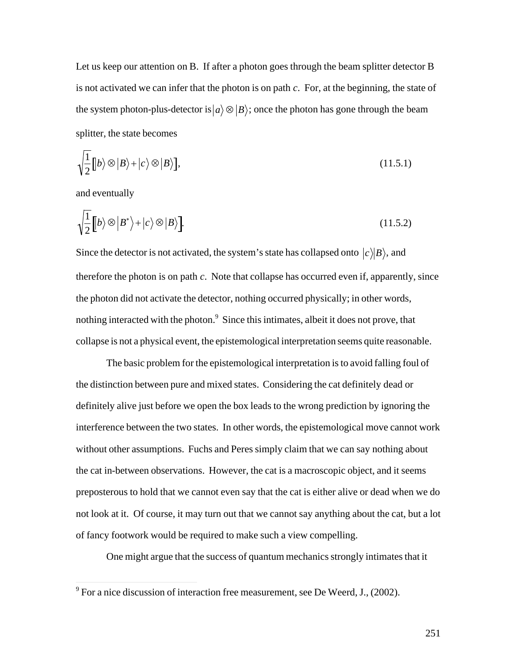Let us keep our attention on B. If after a photon goes through the beam splitter detector B is not activated we can infer that the photon is on path *c*. For, at the beginning, the state of the system photon-plus-detector is  $|a\rangle \otimes |B\rangle$ ; once the photon has gone through the beam splitter, the state becomes

$$
\sqrt{\frac{1}{2}}[b\rangle \otimes |B\rangle + |c\rangle \otimes |B\rangle],
$$
\n(11.5.1)

and eventually

$$
\sqrt{\frac{1}{2}} \left[ b \rangle \otimes |B^* \rangle + |c \rangle \otimes |B \rangle \right]. \tag{11.5.2}
$$

Since the detector is not activated, the system's state has collapsed onto  $|c\rangle|B\rangle$ , and the photon did not activate the detector, nothing occurred physically; in other words, therefore the photon is on path *c*. Note that collapse has occurred even if, apparently, since nothing interacted with the photon.<sup>9</sup> Since this intimates, albeit it does not prove, that collapse is not a physical event, the epistemological interpretation seems quite reasonable.

The basic problem for the epistemological interpretation is to avoid falling foul of the distinction between pure and mixed states. Considering the cat definitely dead or definitely alive just before we open the box leads to the wrong prediction by ignoring the interference between the two states. In other words, the epistemological move cannot work without other assumptions. Fuchs and Peres simply claim that we can say nothing about the cat in-between observations. However, the cat is a macroscopic object, and it seems preposterous to hold that we cannot even say that the cat is either alive or dead when we do not look at it. Of course, it may turn out that we cannot say anything about the cat, but a lot of fancy footwork would be required to make such a view compelling.

One might argue that the success of quantum mechanics strongly intimates that it

<sup>&</sup>lt;sup>9</sup> For a nice discussion of interaction free measurement, see De Weerd, J., (2002).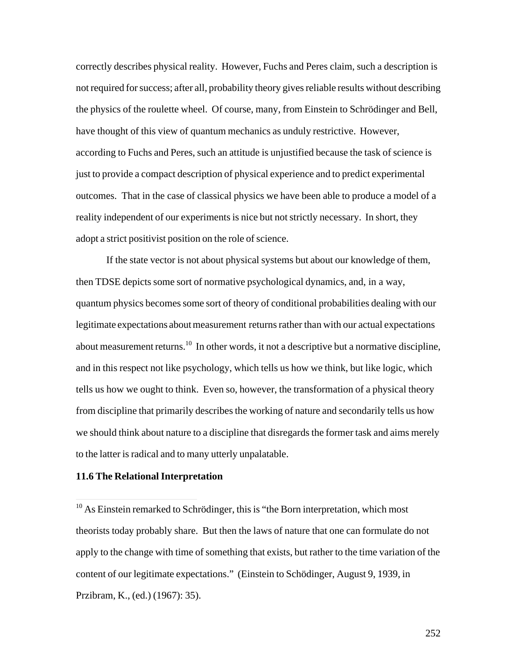correctly describes physical reality. However, Fuchs and Peres claim, such a description is not required for success; after all, probability theory gives reliable results without describing the physics of the roulette wheel. Of course, many, from Einstein to Schrödinger and Bell, have thought of this view of quantum mechanics as unduly restrictive. However, according to Fuchs and Peres, such an attitude is unjustified because the task of science is just to provide a compact description of physical experience and to predict experimental outcomes. That in the case of classical physics we have been able to produce a model of a reality independent of our experiments is nice but not strictly necessary. In short, they adopt a strict positivist position on the role of science.

If the state vector is not about physical systems but about our knowledge of them, then TDSE depicts some sort of normative psychological dynamics, and, in a way, quantum physics becomes some sort of theory of conditional probabilities dealing with our legitimate expectations about measurement returns rather than with our actual expectations about measurement returns.<sup>10</sup> In other words, it not a descriptive but a normative discipline, and in this respect not like psychology, which tells us how we think, but like logic, which tells us how we ought to think. Even so, however, the transformation of a physical theory from discipline that primarily describes the working of nature and secondarily tells us how we should think about nature to a discipline that disregards the former task and aims merely to the latter is radical and to many utterly unpalatable.

# **11.6 The Relational Interpretation**

 $\overline{1}$ 

252

 $10$  As Einstein remarked to Schrödinger, this is "the Born interpretation, which most theorists today probably share. But then the laws of nature that one can formulate do not apply to the change with time of something that exists, but rather to the time variation of the content of our legitimate expectations." (Einstein to Schödinger, August 9, 1939, in Przibram, K., (ed.) (1967): 35).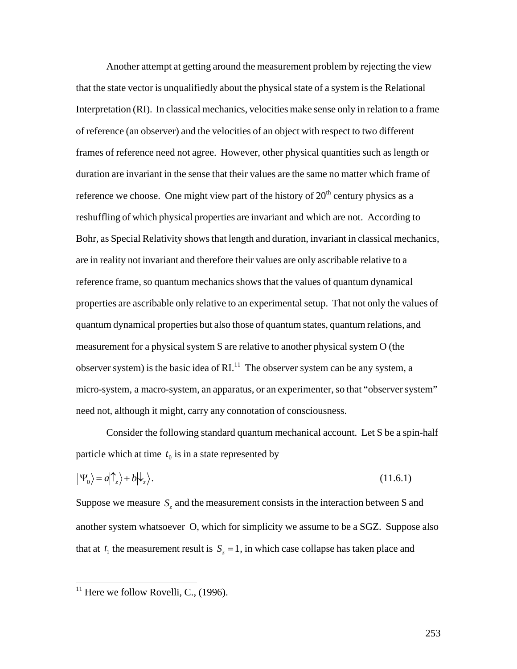Another attempt at getting around the measurement problem by rejecting the view that the state vector is unqualifiedly about the physical state of a system is the Relational Interpretation (RI). In classical mechanics, velocities make sense only in relation to a frame of reference (an observer) and the velocities of an object with respect to two different frames of reference need not agree. However, other physical quantities such as length or duration are invariant in the sense that their values are the same no matter which frame of reference we choose. One might view part of the history of  $20<sup>th</sup>$  century physics as a reshuffling of which physical properties are invariant and which are not. According to Bohr, as Special Relativity shows that length and duration, invariant in classical mechanics, are in reality not invariant and therefore their values are only ascribable relative to a reference frame, so quantum mechanics shows that the values of quantum dynamical properties are ascribable only relative to an experimental setup. That not only the values of quantum dynamical properties but also those of quantum states, quantum relations, and measurement for a physical system S are relative to another physical system O (the observer system) is the basic idea of  $\mathbb{R}^{1,1}$  The observer system can be any system, a micro-system, a macro-system, an apparatus, or an experimenter, so that "observer system" need not, although it might, carry any connotation of consciousness.

Consider the following standard quantum mechanical account. Let S be a spin-half particle which at time  $t_0$  is in a state represented by

$$
\left|\Psi_0\right\rangle = a\left|\uparrow_z\right\rangle + b\left|\downarrow_z\right\rangle. \tag{11.6.1}
$$

Suppose we measure  $S_z$  and the measurement consists in the interaction between S and that at  $t_1$  the measurement result is  $S_z = 1$ , in which case collapse has taken place and another system whatsoever O, which for simplicity we assume to be a SGZ. Suppose also

 $\overline{1}$ 

 $\rm{^{11}}$  Here we follow Rovelli, C., (  $11$  Here we follow Rovelli, C., (1996).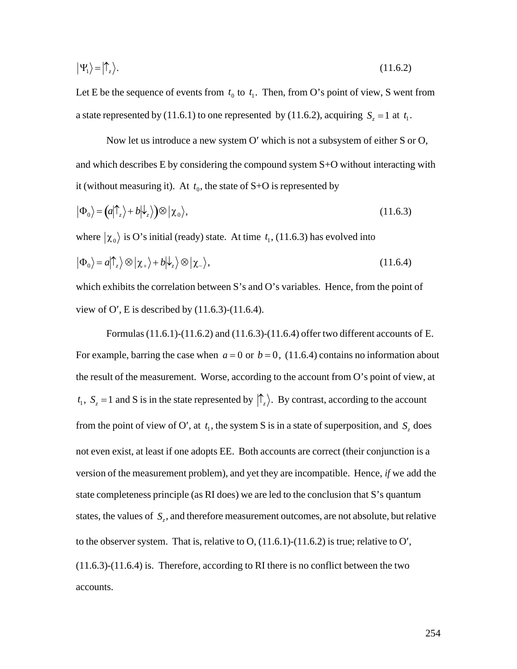$$
|\Psi_1\rangle = |\hat{\Gamma}_z\rangle. \tag{11.6.2}
$$

Let E be the sequence of events from  $t_0$  to  $t_1$ . Then, from O's point of view, S went from a state represented by (11.6.1) to one represented by (11.6.2), acquiring  $S_z = 1$  at  $t_1$ .

Now let us introduce a new system O' which is not a subsystem of either S or O, and which describes E by considering the compound system S+O without interacting with it (without measuring it). At  $t_0$ , the state of S+O is represented by

$$
|\Phi_0\rangle = (a|\uparrow_z\rangle + b|\downarrow_z\rangle) \otimes |\chi_0\rangle, \qquad (11.6.3)
$$

where  $|\chi_0\rangle$  is O's initial (ready) state. At time  $t_1$ , (11.6.3) has evolved into

$$
|\Phi_0\rangle = a|\hat{\uparrow}_z\rangle \otimes |\chi_+\rangle + b|\hat{\downarrow}_z\rangle \otimes |\chi_-\rangle, \qquad (11.6.4)
$$

which exhibits the correlation between S's and O's variables. Hence, from the point of view of O', E is described by  $(11.6.3)-(11.6.4)$ .

Formulas (11.6.1)-(11.6.2) and (11.6.3)-(11.6.4) offer two different accounts of E. For example, barring the case when  $a = 0$  or  $b = 0$ , (11.6.4) contains no information about  $t_1$ ,  $S_z = 1$  and S is in the state represented by  $|\hat{\Gamma}_z\rangle$ . By contrast, according to the account the result of the measurement. Worse, according to the account from O's point of view, at † not even exist, at least if one adopts EE. Both accounts are correct (their conjunction is a from the point of view of O', at  $t_1$ , the system S is in a state of superposition, and  $S_z$  does version of the measurement problem), and yet they are incompatible. Hence, *if* we add the state completeness principle (as RI does) we are led to the conclusion that S's quantum states, the values of *S<sup>z</sup>* , and therefore measurement outcomes, are not absolute, but relative  $(11.6.3)-(11.6.4)$  is. Therefore, according to RI there is no conflict between the two to the observer system. That is, relative to O,  $(11.6.1)-(11.6.2)$  is true; relative to O', accounts.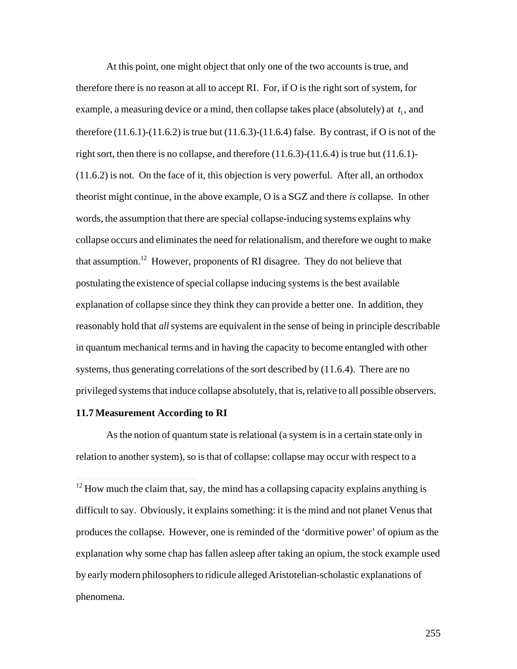At this point, one might object that only one of the two accounts is true, and therefore there is no reason at all to accept RI. For, if O is the right sort of system, for example, a measuring device or a mind, then collapse takes place (absolutely) at  $t_1$ , and right sort, then there is no collapse, and therefore  $(11.6.3)-(11.6.4)$  is true but  $(11.6.1)$ therefore  $(11.6.1)-(11.6.2)$  is true but  $(11.6.3)-(11.6.4)$  false. By contrast, if O is not of the (11.6.2) is not. On the face of it, this objection is very powerful. After all, an orthodox theorist might continue, in the above example, O is a SGZ and there *is* collapse. In other words, the assumption that there are special collapse-inducing systems explains why collapse occurs and eliminates the need for relationalism, and therefore we ought to make that assumption.<sup>12</sup> However, proponents of RI disagree. They do not believe that postulating the existence of special collapse inducing systems is the best available explanation of collapse since they think they can provide a better one. In addition, they reasonably hold that *all* systems are equivalent in the sense of being in principle describable in quantum mechanical terms and in having the capacity to become entangled with other systems, thus generating correlations of the sort described by (11.6.4). There are no privileged systems that induce collapse absolutely, that is, relative to all possible observers.

#### **11.7 Measurement According to RI**

 $\overline{1}$ 

As the notion of quantum state is relational (a system is in a certain state only in relation to another system), so is that of collapse: collapse may occur with respect to a

 $12$  How much the claim that, say, the mind has a collapsing capacity explains anything is difficult to say. Obviously, it explains something: it is the mind and not planet Venus that produces the collapse. However, one is reminded of the 'dormitive power' of opium as the explanation why some chap has fallen asleep after taking an opium, the stock example used by early modern philosophers to ridicule alleged Aristotelian-scholastic explanations of phenomena.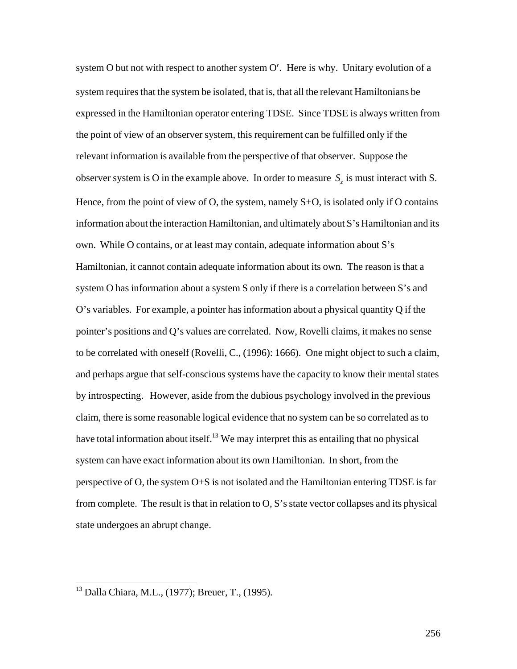system O but not with respect to another system O'. Here is why. Unitary evolution of a system requires that the system be isolated, that is, that all the relevant Hamiltonians be expressed in the Hamiltonian operator entering TDSE. Since TDSE is always written from the point of view of an observer system, this requirement can be fulfilled only if the relevant information is available from the perspective of that observer. Suppose the observer system is O in the example above. In order to measure  $S_z$  is must interact with S. information about the interaction Hamiltonian, and ultimately about S's Hamiltonian and its Hence, from the point of view of O, the system, namely  $S+O$ , is isolated only if O contains own. While O contains, or at least may contain, adequate information about S's Hamiltonian, it cannot contain adequate information about its own. The reason is that a system O has information about a system S only if there is a correlation between S's and O's variables. For example, a pointer has information about a physical quantity Q if the pointer's positions and Q's values are correlated. Now, Rovelli claims, it makes no sense to be correlated with oneself (Rovelli, C., (1996): 1666). One might object to such a claim, and perhaps argue that self-conscious systems have the capacity to know their mental states by introspecting. However, aside from the dubious psychology involved in the previous claim, there is some reasonable logical evidence that no system can be so correlated as to have total information about itself.<sup>13</sup> We may interpret this as entailing that no physical system can have exact information about its own Hamiltonian. In short, from the perspective of O, the system O+S is not isolated and the Hamiltonian entering TDSE is far from complete. The result is that in relation to O, S's state vector collapses and its physical state undergoes an abrupt change.

 $\overline{1}$ 

<sup>13</sup> Dalla Chiara, M.L., (1977); Breuer, T., (1995)*.*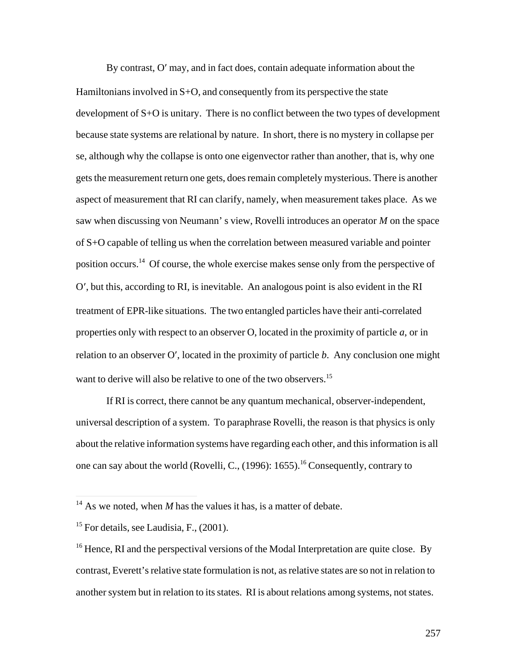By contrast, O' may, and in fact does, contain adequate information about the Hamiltonians involved in  $S+O$ , and consequently from its perspective the state development of S+O is unitary. There is no conflict between the two types of development because state systems are relational by nature. In short, there is no mystery in collapse per se, although why the collapse is onto one eigenvector rather than another, that is, why one gets the measurement return one gets, does remain completely mysterious. There is another aspect of measurement that RI can clarify, namely, when measurement takes place. As we saw when discussing von Neumann' s view, Rovelli introduces an operator *M* on the space of S+O capable of telling us when the correlation between measured variable and pointer position occurs.<sup>14</sup> Of course, the whole exercise makes sense only from the perspective of O¢, but this, according to RI, is inevitable. An analogous point is also evident in the RI treatment of EPR-like situations. The two entangled particles have their anti-correlated properties only with respect to an observer O, located in the proximity of particle *a*, or in relation to an observer O', located in the proximity of particle *b*. Any conclusion one might want to derive will also be relative to one of the two observers.<sup>15</sup>

If RI is correct, there cannot be any quantum mechanical, observer-independent, universal description of a system. To paraphrase Rovelli, the reason is that physics is only about the relative information systems have regarding each other, and this information is all one can say about the world (Rovelli, C.,  $(1996)$ : 1655).<sup>16</sup> Consequently, contrary to

 $\overline{1}$ 

 $14$  As we noted, when *M* has the values it has, is a matter of debate.

<sup>&</sup>lt;sup>15</sup> For details, see Laudisia, F.,  $(2001)$ .

 $^{16}$  Hence, RI and the perspectival versions of the Modal Interpretation are quite close. By contrast, Everett's relative state formulation is not, as relative states are so not in relation to another system but in relation to its states. RI is about relations among systems, not states.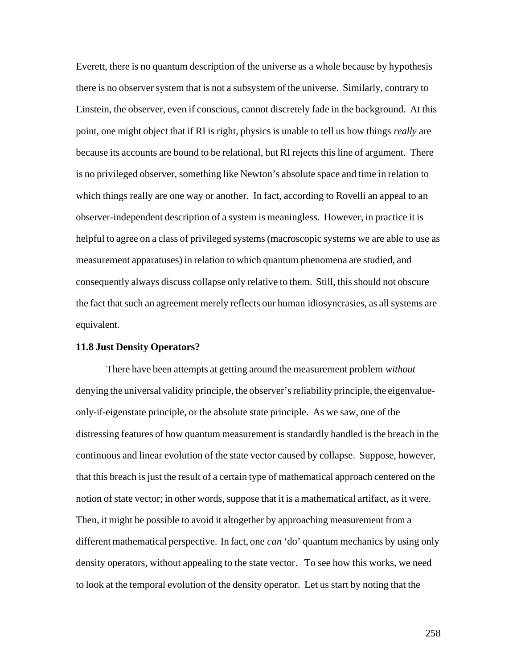Everett, there is no quantum description of the universe as a whole because by hypothesis there is no observer system that is not a subsystem of the universe. Similarly, contrary to Einstein, the observer, even if conscious, cannot discretely fade in the background. At this point, one might object that if RI is right, physics is unable to tell us how things *really* are because its accounts are bound to be relational, but RI rejects this line of argument. There is no privileged observer, something like Newton's absolute space and time in relation to which things really are one way or another. In fact, according to Rovelli an appeal to an observer-independent description of a system is meaningless. However, in practice it is helpful to agree on a class of privileged systems (macroscopic systems we are able to use as measurement apparatuses) in relation to which quantum phenomena are studied, and consequently always discuss collapse only relative to them. Still, this should not obscure the fact that such an agreement merely reflects our human idiosyncrasies, as all systems are equivalent.

### **11.8 Just Density Operators?**

There have been attempts at getting around the measurement problem *without* denying the universal validity principle, the observer's reliability principle, the eigenvalueonly-if-eigenstate principle, or the absolute state principle. As we saw, one of the distressing features of how quantum measurement is standardly handled is the breach in the continuous and linear evolution of the state vector caused by collapse. Suppose, however, that this breach is just the result of a certain type of mathematical approach centered on the notion of state vector; in other words, suppose that it is a mathematical artifact, as it were. Then, it might be possible to avoid it altogether by approaching measurement from a different mathematical perspective. In fact, one *can* 'do' quantum mechanics by using only density operators, without appealing to the state vector. To see how this works, we need to look at the temporal evolution of the density operator. Let us start by noting that the

258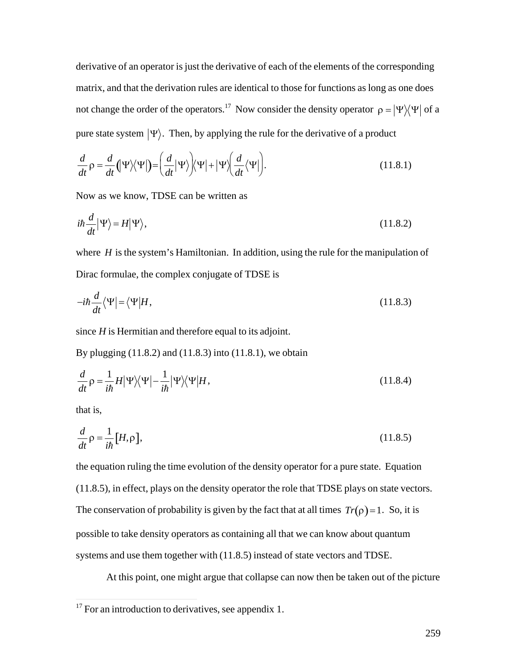derivative of an operator is just the derivative of each of the elements of the corresponding matrix, and that the derivation rules are identical to those for functions as long as one does not change the order of the operators.<sup>17</sup> Now consider the density operator  $\rho = |\Psi\rangle\langle\Psi|$  of a pure state system  $|\Psi\rangle$ . Then, by applying the rule for the derivative of a product

$$
\frac{d}{dt}\rho = \frac{d}{dt}(\Psi)\langle\Psi|\rangle = \left(\frac{d}{dt}|\Psi\rangle\right)\langle\Psi| + |\Psi\rangle\left(\frac{d}{dt}\langle\Psi|\right).
$$
\n(11.8.1)

Now as we know, TDSE can be written as

$$
i\hbar \frac{d}{dt} |\Psi\rangle = H |\Psi\rangle, \qquad (11.8.2)
$$

where  $H$  is the system's Hamiltonian. In addition, using the rule for the manipulation of Dirac formulae, the complex conjugate of TDSE is

$$
-i\hbar \frac{d}{dt} \langle \Psi | = \langle \Psi | H, \tag{11.8.3}
$$

since  $H$  is Hermitian and therefore equal to its adjoint.

By plugging  $(11.8.2)$  and  $(11.8.3)$  into  $(11.8.1)$ , we obtain

$$
\frac{d}{dt}\rho = \frac{1}{i\hbar}H|\Psi\rangle\langle\Psi| - \frac{1}{i\hbar}|\Psi\rangle\langle\Psi|H,
$$
\n(11.8.4)

that is.

$$
\frac{d}{dt}\rho = \frac{1}{i\hbar} \left[ H, \rho \right],\tag{11.8.5}
$$

the equation ruling the time evolution of the density operator for a pure state. Equation (11.8.5), in effect, plays on the density operator the role that TDSE plays on state vectors. The conservation of probability is given by the fact that at all times  $Tr(\rho) = 1$ . So, it is possible to take density operators as containing all that we can know about quantum systems and use them together with (11.8.5) instead of state vectors and TDSE.

At this point, one might argue that collapse can now then be taken out of the picture

 $17$  For an introduction to derivatives, see appendix 1.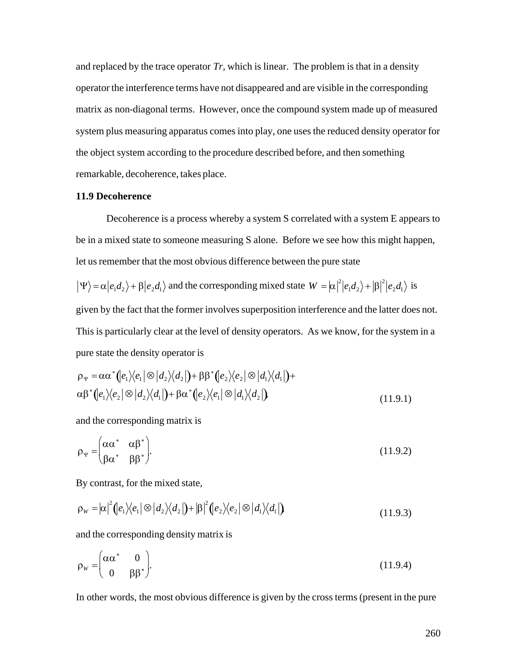and replaced by the trace operator  $Tr$ , which is linear. The problem is that in a density operator the interference terms have not disappeared and are visible in the corresponding matrix as non-diagonal terms. However, once the compound system made up of measured system plus measuring apparatus comes into play, one uses the reduced density operator for the object system according to the procedure described before, and then something remarkable, decoherence, takes place.

#### **11.9 Decoherence**

Decoherence is a process whereby a system S correlated with a system E appears to be in a mixed state to someone measuring S alone. Before we see how this might happen, let us remember that the most obvious difference between the pure state

$$
|\Psi\rangle = \alpha |e_1 d_2\rangle + \beta |e_2 d_1\rangle
$$
 and the corresponding mixed state  $W = |\alpha|^2 |e_1 d_2\rangle + |\beta|^2 |e_2 d_1\rangle$  is

given by the fact that the former involves superposition interference and the latter does not. This is particularly clear at the level of density operators. As we know, for the system in a pure state the density operator is

$$
\rho_{\Psi} = \alpha \alpha^* (e_1) \langle e_1 | \otimes | d_2 \rangle \langle d_2 | \mathbf{H} \beta^* (e_2) \langle e_2 | \otimes | d_1 \rangle \langle d_1 | \mathbf{H}
$$
  
\n
$$
\alpha \beta^* (e_1) \langle e_2 | \otimes | d_2 \rangle \langle d_1 | \mathbf{H} \beta \alpha^* (e_2) \langle e_1 | \otimes | d_1 \rangle \langle d_2 | \mathbf{H} \gamma^* (e_2) \langle d_1 | d_2 | \mathbf{H} \gamma^* (e_2) \rangle
$$
\n(11.9.1)

and the corresponding matrix is

$$
\rho_{\Psi} = \begin{pmatrix} \alpha \alpha^* & \alpha \beta^* \\ \beta \alpha^* & \beta \beta^* \end{pmatrix} . \tag{11.9.2}
$$

By contrast, for the mixed state,

$$
\rho_W = |\alpha|^2 (e_1) \langle e_1 | \otimes | d_2 \rangle \langle d_2 | \mathbf{H} | \beta|^2 (e_2) \langle e_2 | \otimes | d_1 \rangle \langle d_1 | \mathbf{H} \rangle \tag{11.9.3}
$$

and the corresponding density matrix is

$$
\rho_W = \begin{pmatrix} \alpha \alpha^* & 0 \\ 0 & \beta \beta^* \end{pmatrix} . \tag{11.9.4}
$$

In other words, the most obvious difference is given by the cross terms (present in the pure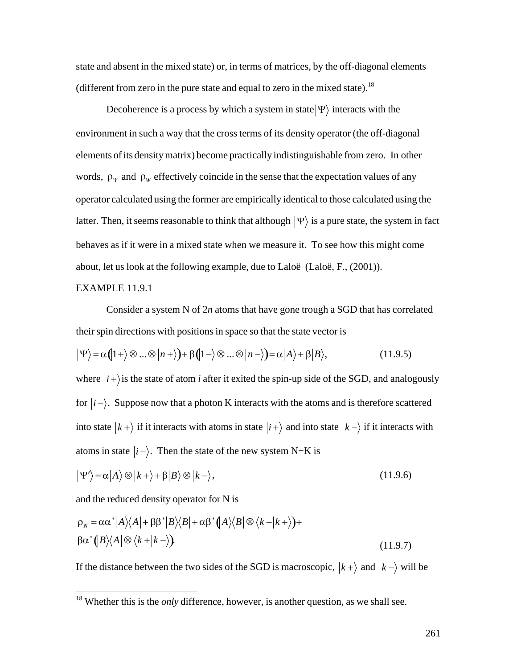state and absent in the mixed state) or, in terms of matrices, by the off-diagonal elements (different from zero in the pure state and equal to zero in the mixed state).<sup>18</sup>

Decoherence is a process by which a system in state  $|\Psi\rangle$  interacts with the † elements of its density matrix) become practically indistinguishable from zero. In other environment in such a way that the cross terms of its density operator (the off-diagonal words,  $\rho_{\Psi}$  and  $\rho_{W}$  effectively coincide in the sense that the expectation values of any latter. Then, it seems reasonable to think that although  $|\Psi\rangle$  is a pure state, the system in fact operator calculated using the former are empirically identical to those calculated using the about, let us look at the following example, due to Laloë (Laloë, F., (2001)). behaves as if it were in a mixed state when we measure it. To see how this might come

## EXAMPLE 11.9.1

 $\overline{1}$ 

Consider a system N of 2*n* atoms that have gone trough a SGD that has correlated their spin directions with positions in space so that the state vector is

$$
|\Psi\rangle = \alpha (|1+\rangle \otimes ... \otimes |n+\rangle) + \beta (|1-\rangle \otimes ... \otimes |n-\rangle) = \alpha |A\rangle + \beta |B\rangle, \qquad (11.9.5)
$$

where  $|i+\rangle$  is the state of atom *i* after it exited the spin-up side of the SGD, and analogously into state  $|k+\rangle$  if it interacts with atoms in state  $|i+\rangle$  and into state  $|k-\rangle$  if it interacts with for  $|i-\rangle$ . Suppose now that a photon K interacts with the atoms and is therefore scattered atoms in state  $|i-\rangle$ . Then the state of the new system N+K is

$$
|\Psi'\rangle = \alpha |A\rangle \otimes |k+\rangle + \beta |B\rangle \otimes |k-\rangle, \qquad (11.9.6)
$$

and the reduced density operator for N is

$$
\rho_N = \alpha \alpha^* |A\rangle\langle A| + \beta \beta^* |B\rangle\langle B| + \alpha \beta^* (A\rangle\langle B| \otimes \langle k - |k + \rangle) +
$$
  
\n
$$
\beta \alpha^* (B\rangle\langle A| \otimes \langle k + |k - \rangle).
$$
 (11.9.7)

If the distance between the two sides of the SGD is macroscopic,  $|k+\rangle$  and  $|k-\rangle$  will be

<sup>† 1999&</sup>lt;br>∣and <sup>18</sup> Whether this is the *only* difference, however, is another question, as we shall see.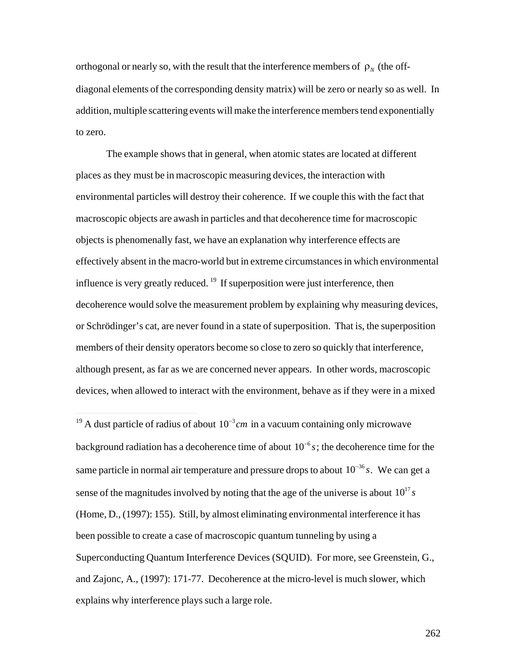orthogonal or nearly so, with the result that the interference members of  $\rho_N$  (the offaddition, multiple scattering events will make the interference members tend exponentially diagonal elements of the corresponding density matrix) will be zero or nearly so as well. In to zero.

The example shows that in general, when atomic states are located at different places as they must be in macroscopic measuring devices, the interaction with environmental particles will destroy their coherence. If we couple this with the fact that macroscopic objects are awash in particles and that decoherence time for macroscopic objects is phenomenally fast, we have an explanation why interference effects are effectively absent in the macro-world but in extreme circumstances in which environmental influence is very greatly reduced.  $19$  If superposition were just interference, then decoherence would solve the measurement problem by explaining why measuring devices, or Schrödinger's cat, are never found in a state of superposition. That is, the superposition members of their density operators become so close to zero so quickly that interference, although present, as far as we are concerned never appears. In other words, macroscopic devices, when allowed to interact with the environment, behave as if they were in a mixed

 $\overline{a}$ 

<sup>&</sup>lt;sup>19</sup> A dust particle of radius of about  $10^{-3}$  *cm* in a vacuum containing only microwave same particle in normal air temperature and pressure drops to about  $10^{-36} s$ . We can get a background radiation has a decoherence time of about  $10^{-6} s$ ; the decoherence time for the sense of the magnitudes involved by noting that the age of the universe is about  $10^{17} s$ (Home, D., (1997): 155). Still, by almost eliminating environmental interference it has been possible to create a case of macroscopic quantum tunneling by using a Superconducting Quantum Interference Devices (SQUID). For more, see Greenstein, G., and Zajonc, A., (1997): 171-77. Decoherence at the micro-level is much slower, which explains why interference plays such a large role.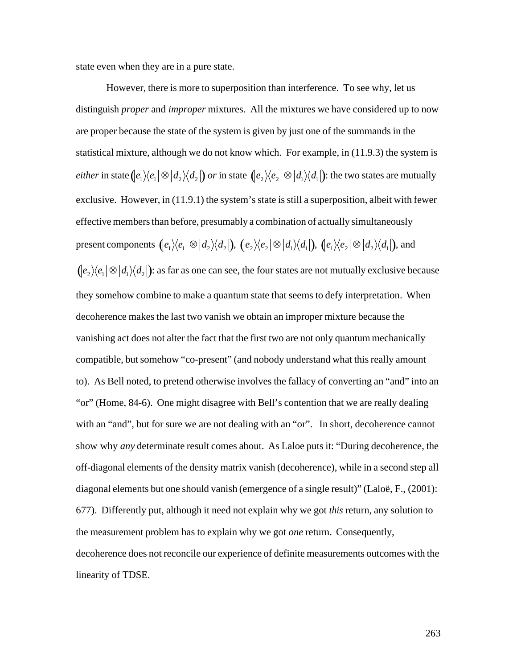state even when they are in a pure state.

However, there is more to superposition than interference. To see why, let us distinguish *proper* and *improper* mixtures. All the mixtures we have considered up to now are proper because the state of the system is given by just one of the summands in the statistical mixture, although we do not know which. For example, in (11.9.3) the system is *either* in state  $(e_1 \rangle \langle e_1| \otimes |d_2 \rangle \langle d_2|)$  *or* in state  $\left(|e_2 \rangle \langle e_2| \otimes |d_1 \rangle \langle d_1| \right)$ : the two states are mutually effective members than before, presumably a combination of actually simultaneously exclusive. However, in (11.9.1) the system's state is still a superposition, albeit with fewer present components  $\int_e^2 e_1 |\otimes d_2\rangle \langle d_2|$ ),  $\int_e^2 e_2 |\otimes d_1\rangle \langle d_1|$ ),  $\int_e^2 e_2 |\otimes d_2\rangle \langle d_1|$ ), and they somehow combine to make a quantum state that seems to defy interpretation. When  $\int e_2 \rangle\langle e_1 | \otimes | d_1 \rangle\langle d_2 |$ ): as far as one can see, the four states are not mutually exclusive because decoherence makes the last two vanish we obtain an improper mixture because the vanishing act does not alter the fact that the first two are not only quantum mechanically compatible, but somehow "co-present" (and nobody understand what this really amount to). As Bell noted, to pretend otherwise involves the fallacy of converting an "and" into an "or" (Home, 84-6). One might disagree with Bell's contention that we are really dealing with an "and", but for sure we are not dealing with an "or". In short, decoherence cannot show why *any* determinate result comes about. As Laloe puts it: "During decoherence, the off-diagonal elements of the density matrix vanish (decoherence), while in a second step all diagonal elements but one should vanish (emergence of a single result)" (Laloë, F., (2001): 677). Differently put, although it need not explain why we got *this* return, any solution to the measurement problem has to explain why we got *one* return. Consequently, decoherence does not reconcile our experience of definite measurements outcomes with the linearity of TDSE.

263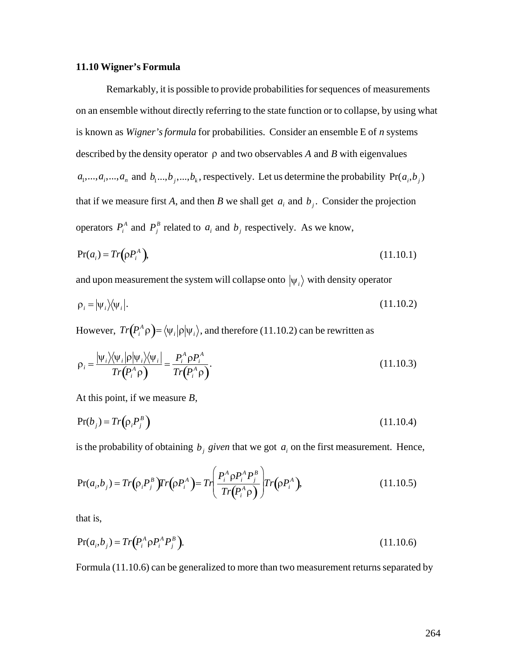#### **11.10 Wigner's Formula**

Remarkably, it is possible to provide probabilities for sequences of measurements on an ensemble without directly referring to the state function or to collapse, by using what is known as *Wigner's formula* for probabilities. Consider an ensemble E of *n* systems described by the density operator  $\rho$  and two observables A and B with eigenvalues that if we measure first *A*, and then *B* we shall get  $a_i$  and  $b_j$ . Consider the projection  $a_1, \ldots, a_i, \ldots, a_n$  and  $b_1, \ldots, b_j, \ldots, b_k$ , respectively. Let us determine the probability  $Pr(a_i, b_j)$ operators  $P_i^A$  and  $P_j^B$  related to  $a_i$  and  $b_j$  respectively. As we know,

$$
Pr(a_i) = Tr(pP_i^A), \qquad (11.10.1)
$$

 $\vec{r}$  +  $\vec{r}$  +  $\vec{r}$  +  $\vec{r}$  +  $\vec{r}$  +  $\vec{r}$  +  $\vec{r}$  +  $\vec{r}$  +  $\vec{r}$  +  $\vec{r}$  +  $\vec{r}$  +  $\vec{r}$  +  $\vec{r}$  +  $\vec{r}$  +  $\vec{r}$  +  $\vec{r}$  +  $\vec{r}$  +  $\vec{r}$  +  $\vec{r}$  +  $\vec{r}$  +  $\vec{r}$  +  $\vec{r}$  + and upon measurement the system will collapse onto  $|\psi_i\rangle$  with density operator

$$
\rho_i = |\psi_i\rangle\langle\psi_i|.\tag{11.10.2}
$$

However,  $Tr(P_i^A \rho) = \langle \psi_i | \rho | \psi_i \rangle$ , and therefore (11.10.2) can be rewritten as

$$
\rho_i = \frac{|\psi_i\rangle\langle\psi_i|\rho|\psi_i\rangle\langle\psi_i|}{Tr(P_i^A \rho)} = \frac{P_i^A \rho P_i^A}{Tr(P_i^A \rho)}.
$$
\n(11.10.3)

At this point, if we measure *B*,

$$
Pr(b_j) = Tr(p_i P_j^B)
$$
\n(11.10.4)

is the probability of obtaining  $b_j$  given that we got  $a_i$  on the first measurement. Hence,

$$
Pr(a_i, b_j) = Tr(\rho_i P_j^B) Tr(\rho P_i^A) = Tr\left(\frac{P_i^A \rho P_i^A P_j^B}{Tr(\rho P_i^A \rho)}\right) Tr(\rho P_i^A),
$$
\n(11.10.5)

that is,

$$
Pr(a_i, b_j) = Tr(P_i^A \rho P_i^A P_j^B). \tag{11.10.6}
$$

Formula (11.10.6) can be generalized to more than two measurement returns separated by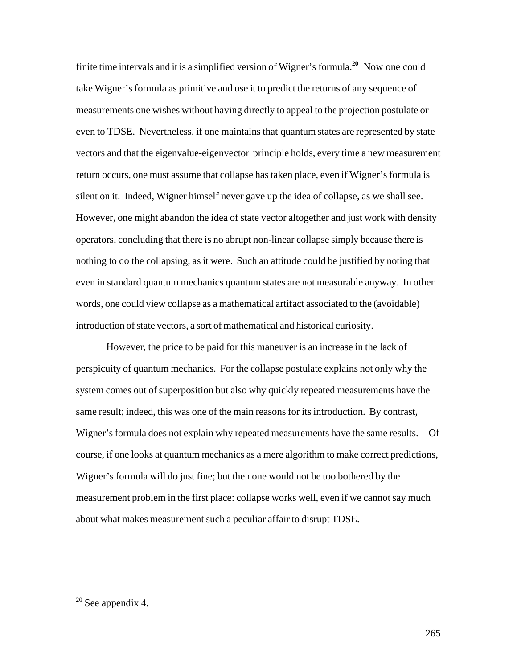finite time intervals and it is a simplified version of Wigner's formula.**<sup>20</sup>** Now one could take Wigner's formula as primitive and use it to predict the returns of any sequence of measurements one wishes without having directly to appeal to the projection postulate or even to TDSE. Nevertheless, if one maintains that quantum states are represented by state vectors and that the eigenvalue-eigenvector principle holds, every time a new measurement return occurs, one must assume that collapse has taken place, even if Wigner's formula is silent on it. Indeed, Wigner himself never gave up the idea of collapse, as we shall see. However, one might abandon the idea of state vector altogether and just work with density operators, concluding that there is no abrupt non-linear collapse simply because there is nothing to do the collapsing, as it were. Such an attitude could be justified by noting that even in standard quantum mechanics quantum states are not measurable anyway. In other words, one could view collapse as a mathematical artifact associated to the (avoidable) introduction of state vectors, a sort of mathematical and historical curiosity.

However, the price to be paid for this maneuver is an increase in the lack of perspicuity of quantum mechanics. For the collapse postulate explains not only why the system comes out of superposition but also why quickly repeated measurements have the same result; indeed, this was one of the main reasons for its introduction. By contrast, Wigner's formula does not explain why repeated measurements have the same results. Of course, if one looks at quantum mechanics as a mere algorithm to make correct predictions, Wigner's formula will do just fine; but then one would not be too bothered by the measurement problem in the first place: collapse works well, even if we cannot say much about what makes measurement such a peculiar affair to disrupt TDSE.

 $\overline{a}$ 

 $20$  See appendix 4.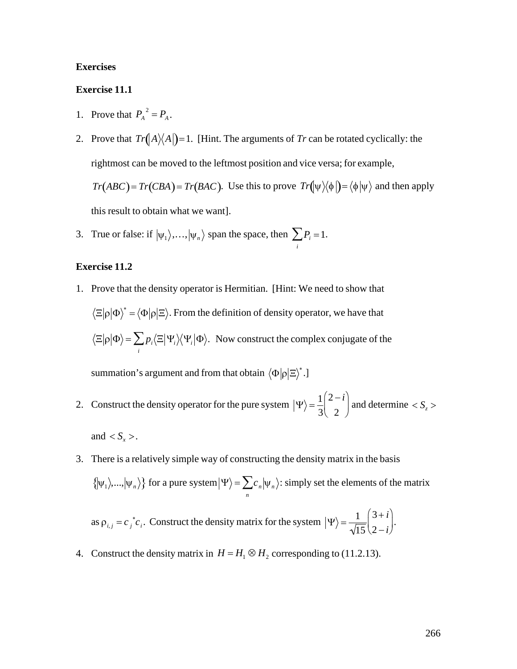## **Exercises**

#### **Exercise 11.1**

- 1. Prove that  $P_A^2 = P_A$ .
- 2. Prove that  $Tr(A)(A)$  = 1. [Hint. The arguments of Tr can be rotated cyclically: the rightmost can be moved to the leftmost position and vice versa; for example,  $Tr(ABC) = Tr(CBA) = Tr(BAC)$ . Use this to prove  $Tr(\psi \setminus \phi) = \langle \phi | \psi \rangle$  and then apply this result to obtain what we want].
- 3. True or false: if  $|\psi_1\rangle$ ,...,  $|\psi_n\rangle$  span the space, then  $\sum_i P_i = 1$ .

## **Exercise 11.2**

1. Prove that the density operator is Hermitian. [Hint: We need to show that  $\langle \Xi | \rho | \Phi \rangle^* = \langle \Phi | \rho | \Xi \rangle$ . From the definition of density operator, we have that  $\langle \Xi | \rho | \Phi \rangle = \sum_i p_i \langle \Xi | \Psi_i \rangle \langle \Psi_i | \Phi \rangle$ . Now construct the complex conjugate of the

summation's argument and from that obtain  $\langle \Phi | \rho | \Xi \rangle^*$ .]

- 2. Construct the density operator for the pure system  $|\Psi\rangle = \frac{1}{3}\begin{pmatrix} 2-i \\ 2-i \end{pmatrix}$  and determine  $\langle S_z \rangle$ and  $\langle S_{r} \rangle$ .
- 3. There is a relatively simple way of constructing the density matrix in the basis  $\{\vert \psi_1 \rangle, ..., \vert \psi_n \rangle\}$  for a pure system  $\vert \Psi \rangle = \sum_{n} c_n \vert \psi_n \rangle$ : simply set the elements of the matrix

as  $\rho_{i,j} = c_j^* c_i$ . Construct the density matrix for the system  $|\Psi\rangle = \frac{1}{\sqrt{15}} \left( \frac{3+i}{2-i} \right)$ .

4. Construct the density matrix in  $H = H_1 \otimes H_2$  corresponding to (11.2.13).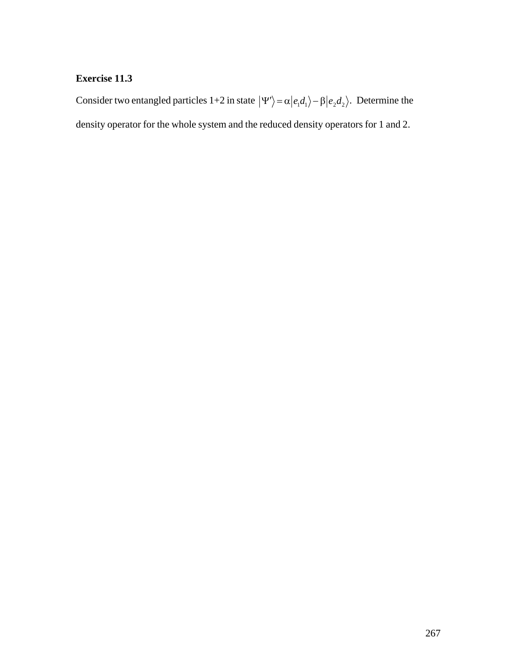# **Exercise 11.3**

Consider two entangled particles 1+2 in state  $|\Psi'\rangle = \alpha |e_1 d_1\rangle - \beta |e_2 d_2\rangle$ . Determine the density operator for the whole system and the reduced density operators for 1 and 2.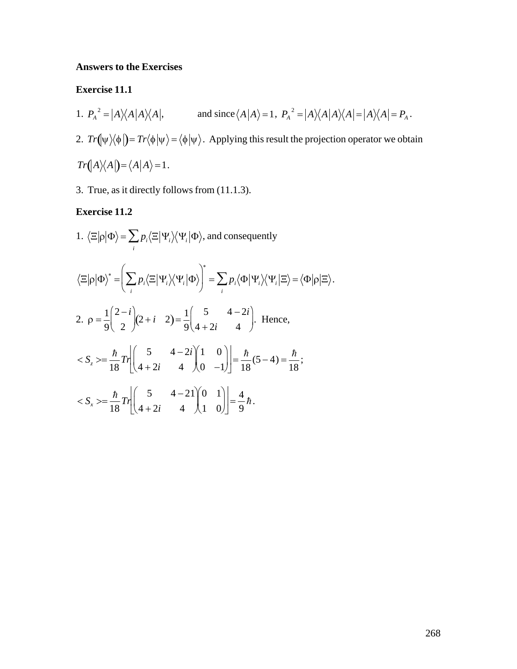## **Answers to the Exercises**

#### **Exercise 11.1**

- 1.  $P_A^2 = |A\rangle\langle A|A\rangle\langle A|$ , and since  $\langle A|A\rangle = 1$ ,  $P_A^2 = |A\rangle\langle A|A\rangle\langle A| = |A\rangle\langle A| = P_A$ . 2.  $Tr(\psi \rangle \langle \phi |) = Tr \langle \phi | \psi \rangle = \langle \phi | \psi \rangle$ . Applying this result the projection operator we obtain  $Tr(A)\langle A|]=\langle A|A\rangle=1.$
- 3. True, as it directly follows from (11.1.3).

# **Exercise 11.2**

1.  $\langle \Xi | \rho | \Phi \rangle = \sum p_i \langle \Xi | \Psi_i \rangle \langle \Psi_i | \Phi \rangle$ , and consequently  $\langle \Xi | \rho | \Phi \rangle^* = \left( \sum p_i \langle \Xi | \Psi_i \rangle \langle \Psi_i | \Phi \rangle \right)^* = \sum p_i \langle \Phi | \Psi_i \rangle \langle \Psi_i | \Xi \rangle = \langle \Phi | \rho | \Xi \rangle.$ 2.  $\rho = \frac{1}{9} \left( \frac{2-i}{2} \right) (2+i-2) = \frac{1}{9} \left( \frac{5}{4+2i} - \frac{4-2i}{4} \right)$ . Hence,  $\langle S_z \rangle = \frac{\hbar}{18} Tr \left| \begin{pmatrix} 5 & 4-2i \\ 4+2i & 4 \end{pmatrix} \begin{pmatrix} 1 & 0 \\ 0 & -1 \end{pmatrix} \right| = \frac{\hbar}{18} (5-4) = \frac{\hbar}{18};$  $\langle S_x \rangle = \frac{\hbar}{18} Tr \left| \begin{pmatrix} 5 & 4-2i \\ 4+2i & 4 \end{pmatrix} \begin{pmatrix} 0 & 1 \\ 1 & 0 \end{pmatrix} \right| = \frac{4}{9} \hbar.$